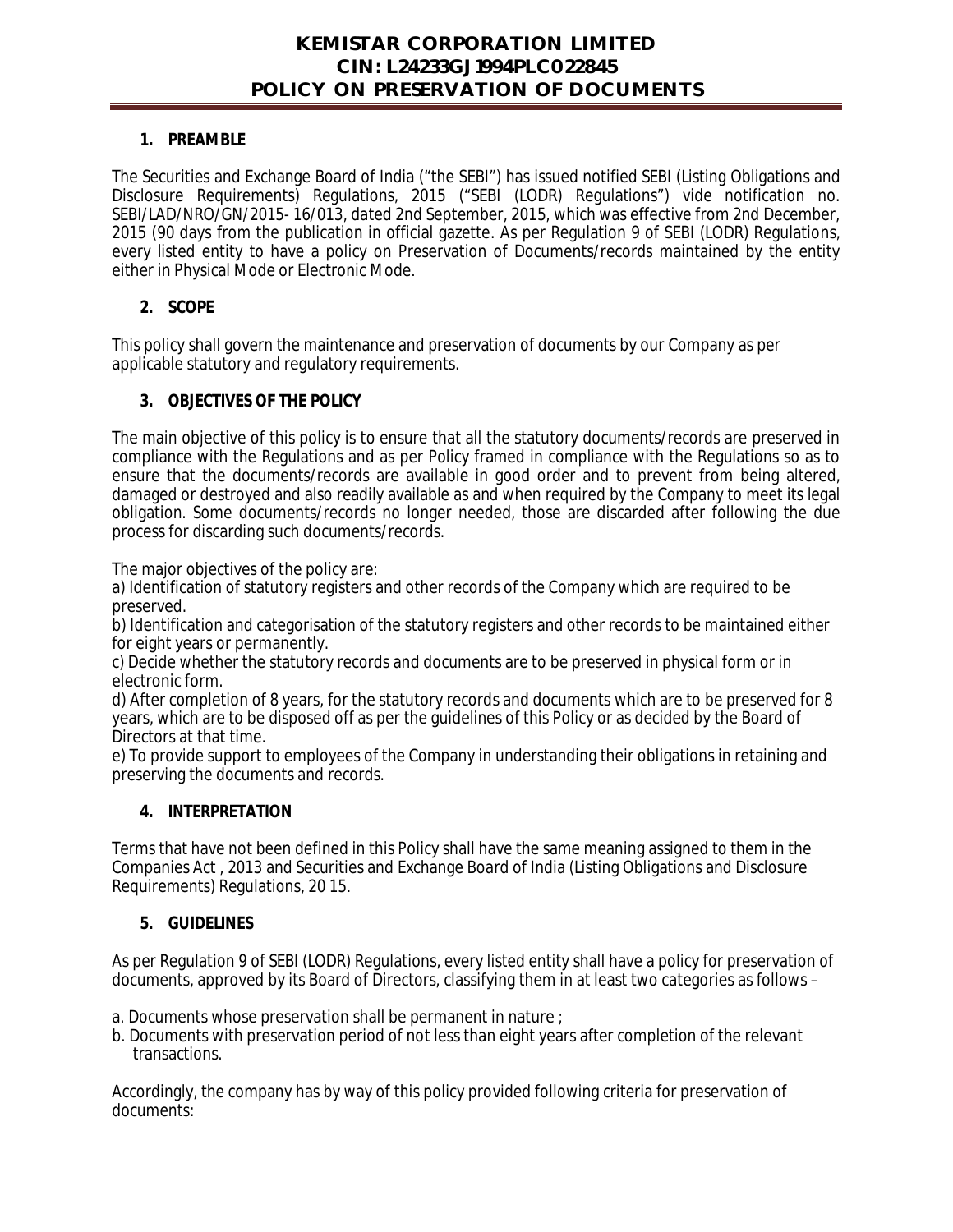#### **1. PREAMBLE**

The Securities and Exchange Board of India ("the SEBI") has issued notified SEBI (Listing Obligations and Disclosure Requirements) Regulations, 2015 ("SEBI (LODR) Regulations") vide notification no. SEBI/LAD/NRO/GN/2015- 16/013, dated 2nd September, 2015, which was effective from 2nd December, 2015 (90 days from the publication in official gazette. As per Regulation 9 of SEBI (LODR) Regulations, every listed entity to have a policy on Preservation of Documents/records maintained by the entity either in Physical Mode or Electronic Mode.

### **2. SCOPE**

This policy shall govern the maintenance and preservation of documents by our Company as per applicable statutory and regulatory requirements.

### **3. OBJECTIVES OF THE POLICY**

The main objective of this policy is to ensure that all the statutory documents/records are preserved in compliance with the Regulations and as per Policy framed in compliance with the Regulations so as to ensure that the documents/records are available in good order and to prevent from being altered, damaged or destroyed and also readily available as and when required by the Company to meet its legal obligation. Some documents/records no longer needed, those are discarded after following the due process for discarding such documents/records.

The major objectives of the policy are:

a) Identification of statutory registers and other records of the Company which are required to be preserved.

b) Identification and categorisation of the statutory registers and other records to be maintained either for eight years or permanently.

c) Decide whether the statutory records and documents are to be preserved in physical form or in electronic form.

d) After completion of 8 years, for the statutory records and documents which are to be preserved for 8 years, which are to be disposed off as per the guidelines of this Policy or as decided by the Board of Directors at that time.

e) To provide support to employees of the Company in understanding their obligations in retaining and preserving the documents and records.

#### **4. INTERPRETATION**

Terms that have not been defined in this Policy shall have the same meaning assigned to them in the Companies Act , 2013 and Securities and Exchange Board of India (Listing Obligations and Disclosure Requirements) Regulations, 20 15.

#### **5. GUIDELINES**

As per Regulation 9 of SEBI (LODR) Regulations, every listed entity shall have a policy for preservation of documents, approved by its Board of Directors, classifying them in at least two categories as follows –

a. Documents whose preservation shall be permanent in nature ;

b. Documents with preservation period of not less than eight years after completion of the relevant transactions.

Accordingly, the company has by way of this policy provided following criteria for preservation of documents: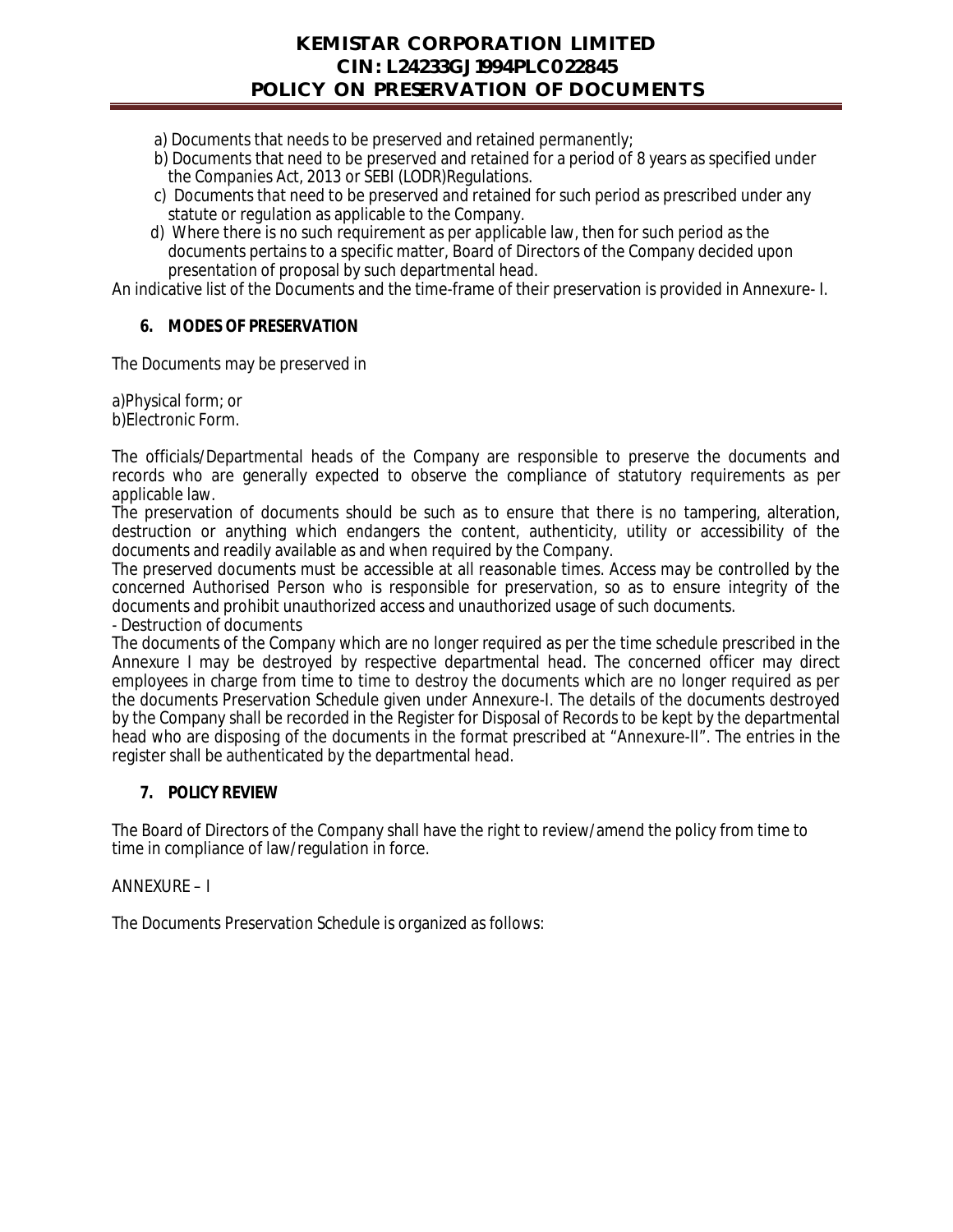- a) Documents that needs to be preserved and retained permanently;
- b) Documents that need to be preserved and retained for a period of 8 years as specified under the Companies Act, 2013 or SEBI (LODR)Regulations.
- c) Documents that need to be preserved and retained for such period as prescribed under any statute or regulation as applicable to the Company.
- d) Where there is no such requirement as per applicable law, then for such period as the documents pertains to a specific matter, Board of Directors of the Company decided upon presentation of proposal by such departmental head.

An indicative list of the Documents and the time-frame of their preservation is provided in Annexure- I.

#### **6. MODES OF PRESERVATION**

The Documents may be preserved in

a)Physical form; or b)Electronic Form.

The officials/Departmental heads of the Company are responsible to preserve the documents and records who are generally expected to observe the compliance of statutory requirements as per applicable law.

The preservation of documents should be such as to ensure that there is no tampering, alteration, destruction or anything which endangers the content, authenticity, utility or accessibility of the documents and readily available as and when required by the Company.

The preserved documents must be accessible at all reasonable times. Access may be controlled by the concerned Authorised Person who is responsible for preservation, so as to ensure integrity of the documents and prohibit unauthorized access and unauthorized usage of such documents.

- Destruction of documents

The documents of the Company which are no longer required as per the time schedule prescribed in the Annexure I may be destroyed by respective departmental head. The concerned officer may direct employees in charge from time to time to destroy the documents which are no longer required as per the documents Preservation Schedule given under Annexure-I. The details of the documents destroyed by the Company shall be recorded in the Register for Disposal of Records to be kept by the departmental head who are disposing of the documents in the format prescribed at "Annexure-II". The entries in the register shall be authenticated by the departmental head.

#### **7. POLICY REVIEW**

The Board of Directors of the Company shall have the right to review/amend the policy from time to time in compliance of law/regulation in force.

#### ANNEXURE – I

The Documents Preservation Schedule is organized as follows: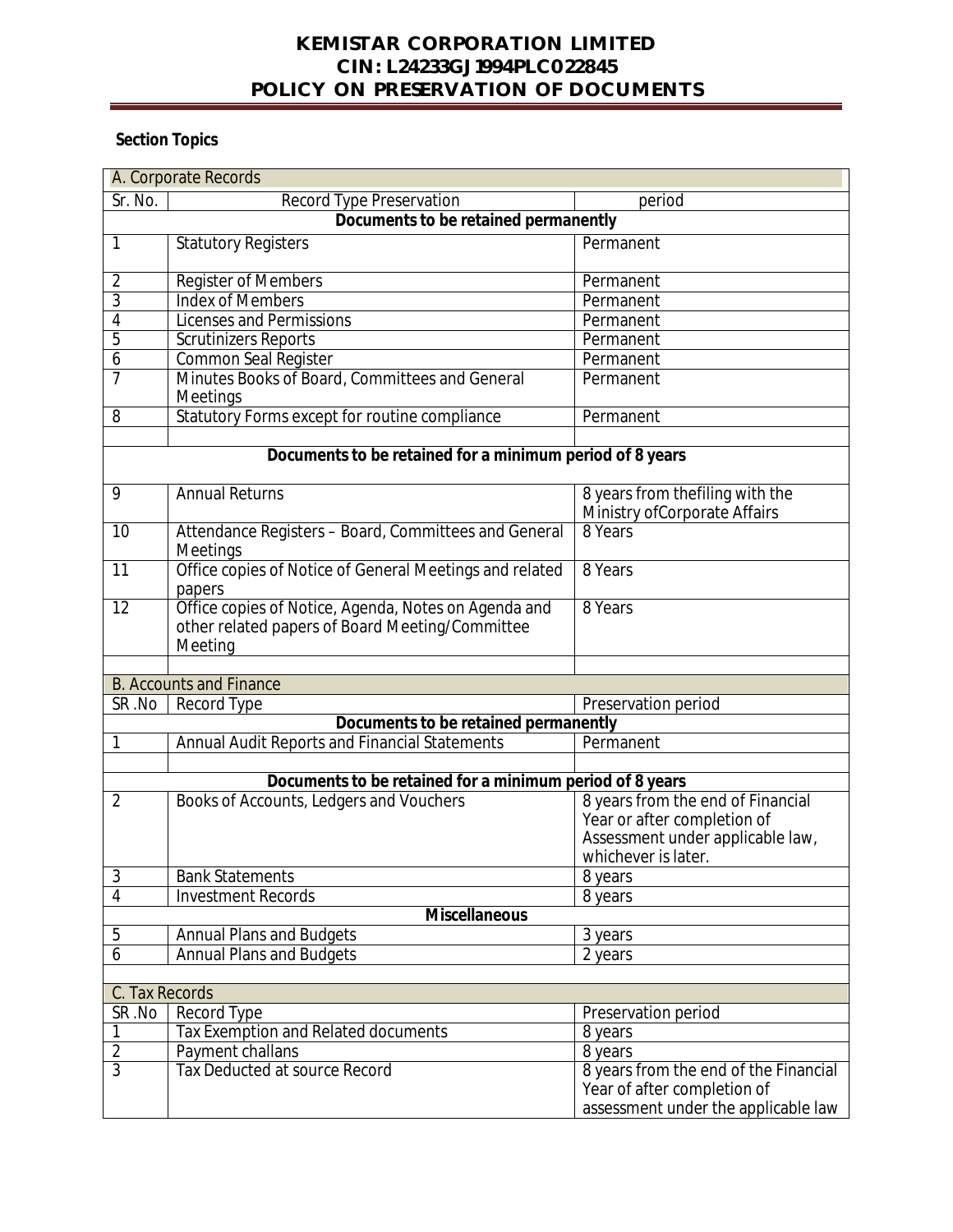## **KEMISTAR CORPORATION LIMITED CIN: L24233GJ1994PLC022845 POLICY ON PRESERVATION OF DOCUMENTS**

# **Section Topics**

| A. Corporate Records                                     |                                                                                                                    |                                                                                                                             |  |
|----------------------------------------------------------|--------------------------------------------------------------------------------------------------------------------|-----------------------------------------------------------------------------------------------------------------------------|--|
| Sr. No.                                                  | <b>Record Type Preservation</b>                                                                                    | period                                                                                                                      |  |
|                                                          | Documents to be retained permanently                                                                               |                                                                                                                             |  |
| 1                                                        | <b>Statutory Registers</b>                                                                                         | Permanent                                                                                                                   |  |
| $\overline{2}$                                           | Register of Members                                                                                                | Permanent                                                                                                                   |  |
| 3                                                        | <b>Index of Members</b>                                                                                            | Permanent                                                                                                                   |  |
| 4                                                        | <b>Licenses and Permissions</b>                                                                                    | Permanent                                                                                                                   |  |
| 5                                                        | <b>Scrutinizers Reports</b>                                                                                        | Permanent                                                                                                                   |  |
| 6                                                        | <b>Common Seal Register</b>                                                                                        | Permanent                                                                                                                   |  |
| 7                                                        | Minutes Books of Board, Committees and General<br>Meetings                                                         | Permanent                                                                                                                   |  |
| 8                                                        | Statutory Forms except for routine compliance                                                                      | Permanent                                                                                                                   |  |
|                                                          |                                                                                                                    |                                                                                                                             |  |
| Documents to be retained for a minimum period of 8 years |                                                                                                                    |                                                                                                                             |  |
| 9                                                        | <b>Annual Returns</b>                                                                                              | 8 years from thefiling with the<br>Ministry of Corporate Affairs                                                            |  |
| 10                                                       | Attendance Registers - Board, Committees and General<br>Meetings                                                   | 8 Years                                                                                                                     |  |
| 11                                                       | Office copies of Notice of General Meetings and related<br>papers                                                  | 8 Years                                                                                                                     |  |
| 12                                                       | Office copies of Notice, Agenda, Notes on Agenda and<br>other related papers of Board Meeting/Committee<br>Meeting | 8 Years                                                                                                                     |  |
|                                                          |                                                                                                                    |                                                                                                                             |  |
| <b>B. Accounts and Finance</b>                           |                                                                                                                    |                                                                                                                             |  |
| SR.No                                                    | Record Type                                                                                                        | Preservation period                                                                                                         |  |
|                                                          | Documents to be retained permanently                                                                               |                                                                                                                             |  |
| 1                                                        | <b>Annual Audit Reports and Financial Statements</b>                                                               | Permanent                                                                                                                   |  |
|                                                          |                                                                                                                    |                                                                                                                             |  |
|                                                          | Documents to be retained for a minimum period of 8 years                                                           |                                                                                                                             |  |
| $\overline{2}$                                           | Books of Accounts, Ledgers and Vouchers                                                                            | 8 years from the end of Financial<br>Year or after completion of<br>Assessment under applicable law,<br>whichever is later. |  |
| $\mathfrak{Z}$                                           | <b>Bank Statements</b>                                                                                             | 8 years                                                                                                                     |  |
| 4                                                        | <b>Investment Records</b>                                                                                          | $\overline{8}$ years                                                                                                        |  |
|                                                          | <b>Miscellaneous</b>                                                                                               |                                                                                                                             |  |
| 5                                                        | <b>Annual Plans and Budgets</b>                                                                                    | 3 years                                                                                                                     |  |
| 6                                                        | <b>Annual Plans and Budgets</b>                                                                                    | 2 years                                                                                                                     |  |
|                                                          |                                                                                                                    |                                                                                                                             |  |
| C. Tax Records                                           |                                                                                                                    |                                                                                                                             |  |
| SR .No                                                   | <b>Record Type</b>                                                                                                 | Preservation period                                                                                                         |  |
| 1                                                        | Tax Exemption and Related documents                                                                                | 8 years                                                                                                                     |  |
| $\overline{2}$                                           | Payment challans                                                                                                   | 8 years                                                                                                                     |  |
| $\overline{3}$                                           | <b>Tax Deducted at source Record</b>                                                                               | 8 years from the end of the Financial<br>Year of after completion of<br>assessment under the applicable law                 |  |